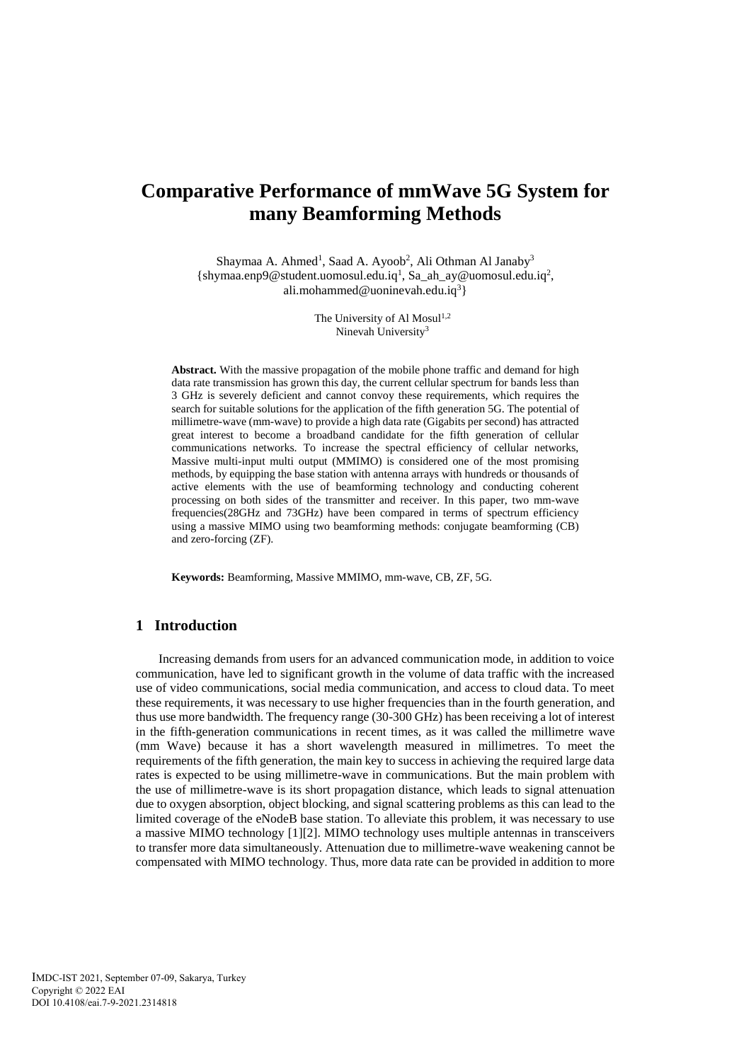# **Comparative Performance of mmWave 5G System for many Beamforming Methods**

Shaymaa A. Ahmed<sup>1</sup>, Saad A. Ayoob<sup>2</sup>, Ali Othman Al Janaby<sup>3</sup>  ${shymaa. enp9@ student.uomosul.edu.iq<sup>1</sup>, Sa_ah_ay@uomosul.edu.iq<sup>2</sup>,$ ali.mohammed@uoninevah.edu.iq<sup>3</sup>}

> The University of Al Mosul<sup>1,2</sup> Ninevah University<sup>3</sup>

**Abstract.** With the massive propagation of the mobile phone traffic and demand for high data rate transmission has grown this day, the current cellular spectrum for bands less than 3 GHz is severely deficient and cannot convoy these requirements, which requires the search for suitable solutions for the application of the fifth generation 5G. The potential of millimetre-wave (mm-wave) to provide a high data rate (Gigabits per second) has attracted great interest to become a broadband candidate for the fifth generation of cellular communications networks. To increase the spectral efficiency of cellular networks, Massive multi-input multi output (MMIMO) is considered one of the most promising methods, by equipping the base station with antenna arrays with hundreds or thousands of active elements with the use of beamforming technology and conducting coherent processing on both sides of the transmitter and receiver. In this paper, two mm-wave frequencies(28GHz and 73GHz) have been compared in terms of spectrum efficiency using a massive MIMO using two beamforming methods: conjugate beamforming (CB) and zero-forcing (ZF).

**Keywords:** Beamforming, Massive MMIMO, mm-wave, CB, ZF, 5G.

# **1 Introduction**

Increasing demands from users for an advanced communication mode, in addition to voice communication, have led to significant growth in the volume of data traffic with the increased use of video communications, social media communication, and access to cloud data. To meet these requirements, it was necessary to use higher frequencies than in the fourth generation, and thus use more bandwidth. The frequency range (30-300 GHz) has been receiving a lot of interest in the fifth-generation communications in recent times, as it was called the millimetre wave (mm Wave) because it has a short wavelength measured in millimetres. To meet the requirements of the fifth generation, the main key to success in achieving the required large data rates is expected to be using millimetre-wave in communications. But the main problem with the use of millimetre-wave is its short propagation distance, which leads to signal attenuation due to oxygen absorption, object blocking, and signal scattering problems as this can lead to the limited coverage of the eNodeB base station. To alleviate this problem, it was necessary to use a massive MIMO technology [1][2]. MIMO technology uses multiple antennas in transceivers to transfer more data simultaneously. Attenuation due to millimetre-wave weakening cannot be compensated with MIMO technology. Thus, more data rate can be provided in addition to more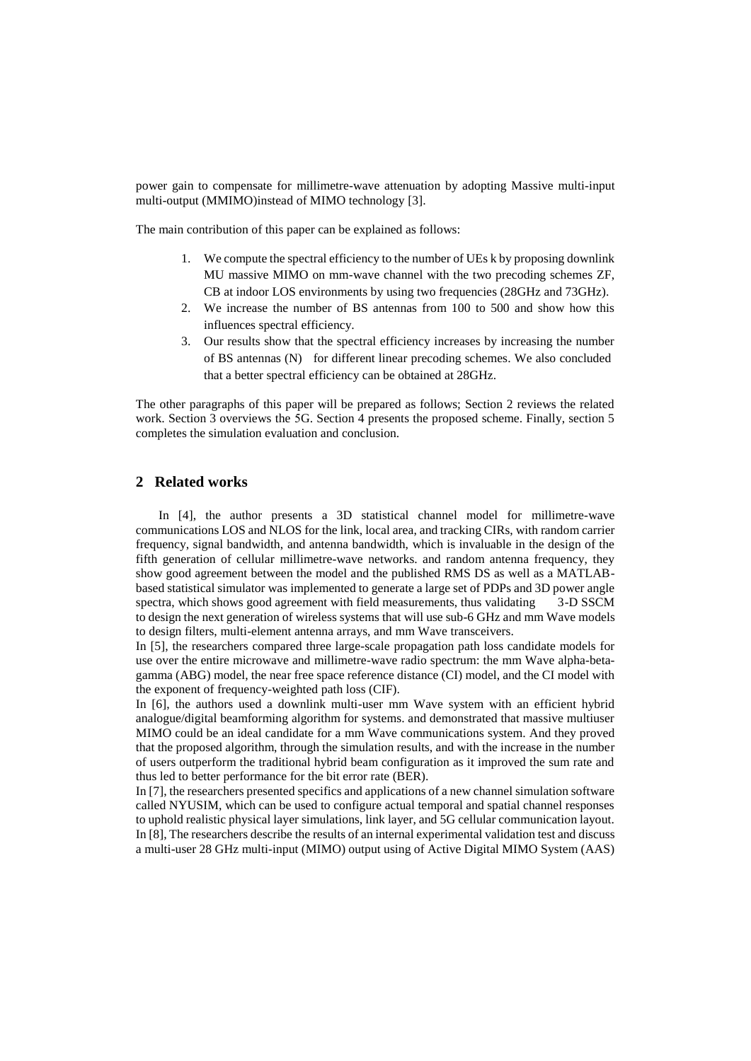power gain to compensate for millimetre-wave attenuation by adopting Massive multi-input multi-output (MMIMO)instead of MIMO technology [3].

The main contribution of this paper can be explained as follows:

- 1. We compute the spectral efficiency to the number of UEs k by proposing downlink MU massive MIMO on mm-wave channel with the two precoding schemes ZF, CB at indoor LOS environments by using two frequencies (28GHz and 73GHz).
- 2. We increase the number of BS antennas from 100 to 500 and show how this influences spectral efficiency.
- 3. Our results show that the spectral efficiency increases by increasing the number of BS antennas (N) for different linear precoding schemes. We also concluded that a better spectral efficiency can be obtained at 28GHz.

The other paragraphs of this paper will be prepared as follows; Section 2 reviews the related work. Section 3 overviews the 5G. Section 4 presents the proposed scheme. Finally, section 5 completes the simulation evaluation and conclusion.

# **2 Related works**

In [4], the author presents a 3D statistical channel model for millimetre-wave communications LOS and NLOS for the link, local area, and tracking CIRs, with random carrier frequency, signal bandwidth, and antenna bandwidth, which is invaluable in the design of the fifth generation of cellular millimetre-wave networks. and random antenna frequency, they show good agreement between the model and the published RMS DS as well as a MATLABbased statistical simulator was implemented to generate a large set of PDPs and 3D power angle spectra, which shows good agreement with field measurements, thus validating 3-D SSCM to design the next generation of wireless systems that will use sub-6 GHz and mm Wave models to design filters, multi-element antenna arrays, and mm Wave transceivers.

In [5], the researchers compared three large-scale propagation path loss candidate models for use over the entire microwave and millimetre-wave radio spectrum: the mm Wave alpha-betagamma (ABG) model, the near free space reference distance (CI) model, and the CI model with the exponent of frequency-weighted path loss (CIF).

In [6], the authors used a downlink multi-user mm Wave system with an efficient hybrid analogue/digital beamforming algorithm for systems. and demonstrated that massive multiuser MIMO could be an ideal candidate for a mm Wave communications system. And they proved that the proposed algorithm, through the simulation results, and with the increase in the number of users outperform the traditional hybrid beam configuration as it improved the sum rate and thus led to better performance for the bit error rate (BER).

In [7], the researchers presented specifics and applications of a new channel simulation software called NYUSIM, which can be used to configure actual temporal and spatial channel responses to uphold realistic physical layer simulations, link layer, and 5G cellular communication layout. In [8], The researchers describe the results of an internal experimental validation test and discuss a multi-user 28 GHz multi-input (MIMO) output using of Active Digital MIMO System (AAS)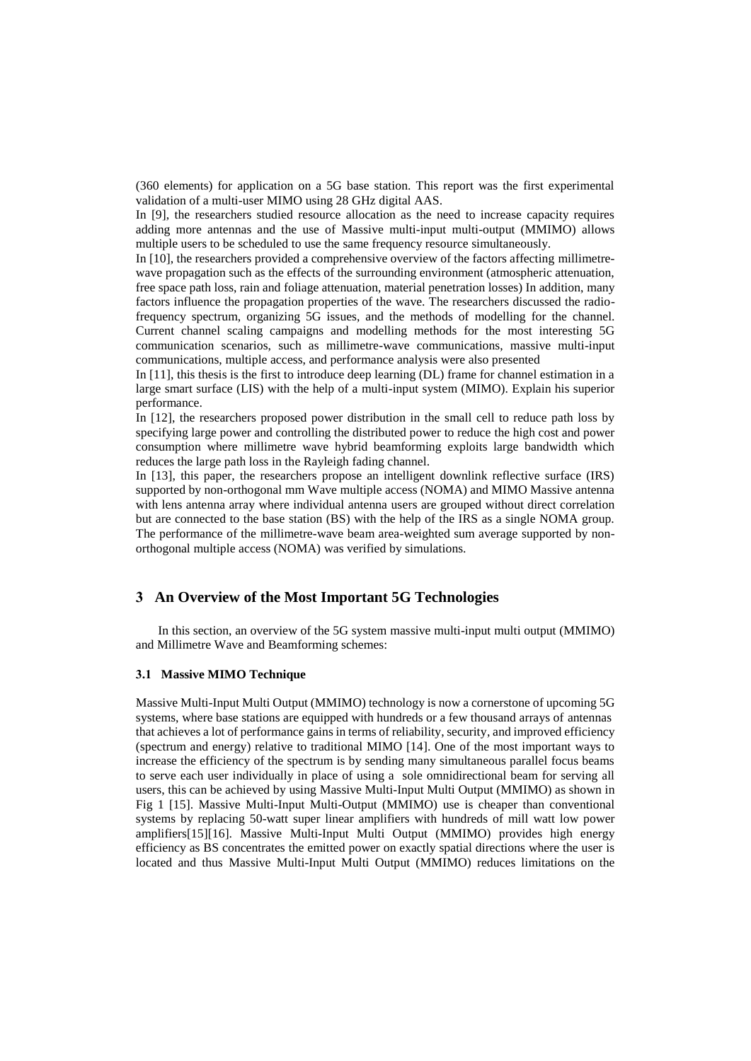(360 elements) for application on a 5G base station. This report was the first experimental validation of a multi-user MIMO using 28 GHz digital AAS.

In [9], the researchers studied resource allocation as the need to increase capacity requires adding more antennas and the use of Massive multi-input multi-output (MMIMO) allows multiple users to be scheduled to use the same frequency resource simultaneously.

In [10], the researchers provided a comprehensive overview of the factors affecting millimetrewave propagation such as the effects of the surrounding environment (atmospheric attenuation, free space path loss, rain and foliage attenuation, material penetration losses) In addition, many factors influence the propagation properties of the wave. The researchers discussed the radiofrequency spectrum, organizing 5G issues, and the methods of modelling for the channel. Current channel scaling campaigns and modelling methods for the most interesting 5G communication scenarios, such as millimetre-wave communications, massive multi-input communications, multiple access, and performance analysis were also presented

In [11], this thesis is the first to introduce deep learning (DL) frame for channel estimation in a large smart surface (LIS) with the help of a multi-input system (MIMO). Explain his superior performance.

In [12], the researchers proposed power distribution in the small cell to reduce path loss by specifying large power and controlling the distributed power to reduce the high cost and power consumption where millimetre wave hybrid beamforming exploits large bandwidth which reduces the large path loss in the Rayleigh fading channel.

In [13], this paper, the researchers propose an intelligent downlink reflective surface (IRS) supported by non-orthogonal mm Wave multiple access (NOMA) and MIMO Massive antenna with lens antenna array where individual antenna users are grouped without direct correlation but are connected to the base station (BS) with the help of the IRS as a single NOMA group. The performance of the millimetre-wave beam area-weighted sum average supported by nonorthogonal multiple access (NOMA) was verified by simulations.

### **3 An Overview of the Most Important 5G Technologies**

 In this section, an overview of the 5G system massive multi-input multi output (MMIMO) and Millimetre Wave and Beamforming schemes:

#### **3.1 Massive MIMO Technique**

Massive Multi-Input Multi Output (MMIMO) technology is now a cornerstone of upcoming 5G systems, where base stations are equipped with hundreds or a few thousand arrays of antennas that achieves a lot of performance gains in terms of reliability, security, and improved efficiency (spectrum and energy) relative to traditional MIMO [14]. One of the most important ways to increase the efficiency of the spectrum is by sending many simultaneous parallel focus beams to serve each user individually in place of using a sole omnidirectional beam for serving all users, this can be achieved by using Massive Multi-Input Multi Output (MMIMO) as shown in Fig 1 [15]. Massive Multi-Input Multi-Output (MMIMO) use is cheaper than conventional systems by replacing 50-watt super linear amplifiers with hundreds of mill watt low power amplifiers[15][16]. Massive Multi-Input Multi Output (MMIMO) provides high energy efficiency as BS concentrates the emitted power on exactly spatial directions where the user is located and thus Massive Multi-Input Multi Output (MMIMO) reduces limitations on the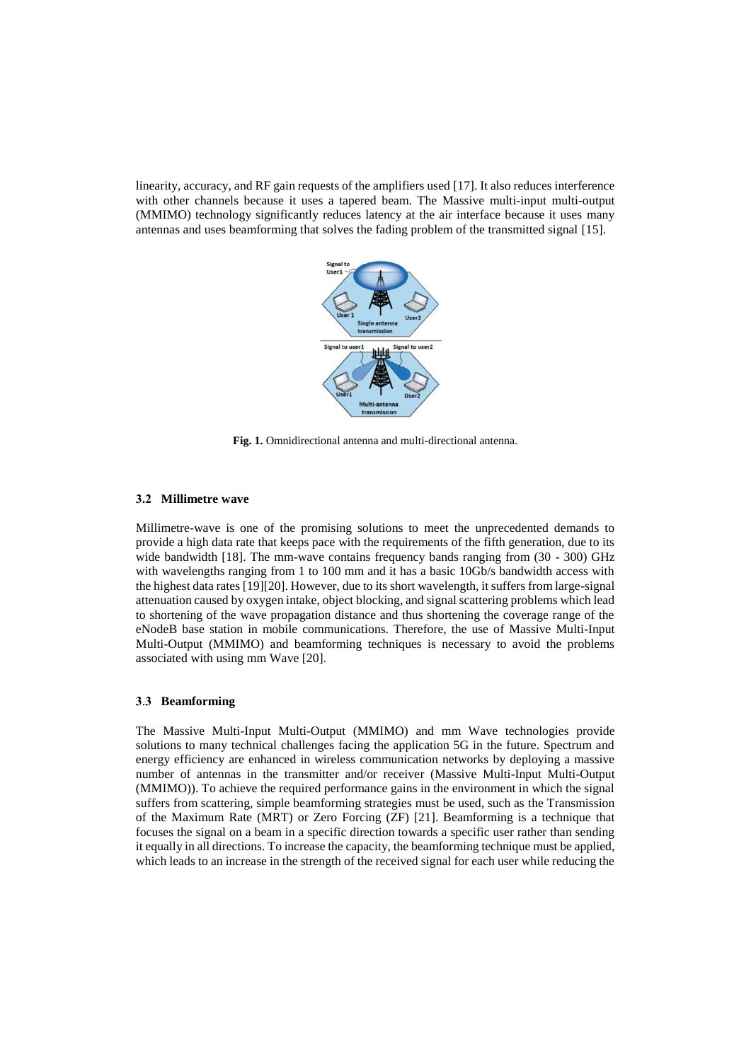linearity, accuracy, and RF gain requests of the amplifiers used [17]. It also reduces interference with other channels because it uses a tapered beam. The Massive multi-input multi-output (MMIMO) technology significantly reduces latency at the air interface because it uses many antennas and uses beamforming that solves the fading problem of the transmitted signal [15].



**Fig. 1.** Omnidirectional antenna and multi-directional antenna.

#### **3.2 Millimetre wave**

Millimetre-wave is one of the promising solutions to meet the unprecedented demands to provide a high data rate that keeps pace with the requirements of the fifth generation, due to its wide bandwidth [18]. The mm-wave contains frequency bands ranging from (30 - 300) GHz with wavelengths ranging from 1 to 100 mm and it has a basic 10Gb/s bandwidth access with the highest data rates [19][20]. However, due to its short wavelength, it suffers from large-signal attenuation caused by oxygen intake, object blocking, and signal scattering problems which lead to shortening of the wave propagation distance and thus shortening the coverage range of the eNodeB base station in mobile communications. Therefore, the use of Massive Multi-Input Multi-Output (MMIMO) and beamforming techniques is necessary to avoid the problems associated with using mm Wave [20].

#### **3**.**3 Beamforming**

The Massive Multi-Input Multi-Output (MMIMO) and mm Wave technologies provide solutions to many technical challenges facing the application 5G in the future. Spectrum and energy efficiency are enhanced in wireless communication networks by deploying a massive number of antennas in the transmitter and/or receiver (Massive Multi-Input Multi-Output (MMIMO)). To achieve the required performance gains in the environment in which the signal suffers from scattering, simple beamforming strategies must be used, such as the Transmission of the Maximum Rate (MRT) or Zero Forcing (ZF) [21]. Beamforming is a technique that focuses the signal on a beam in a specific direction towards a specific user rather than sending it equally in all directions. To increase the capacity, the beamforming technique must be applied, which leads to an increase in the strength of the received signal for each user while reducing the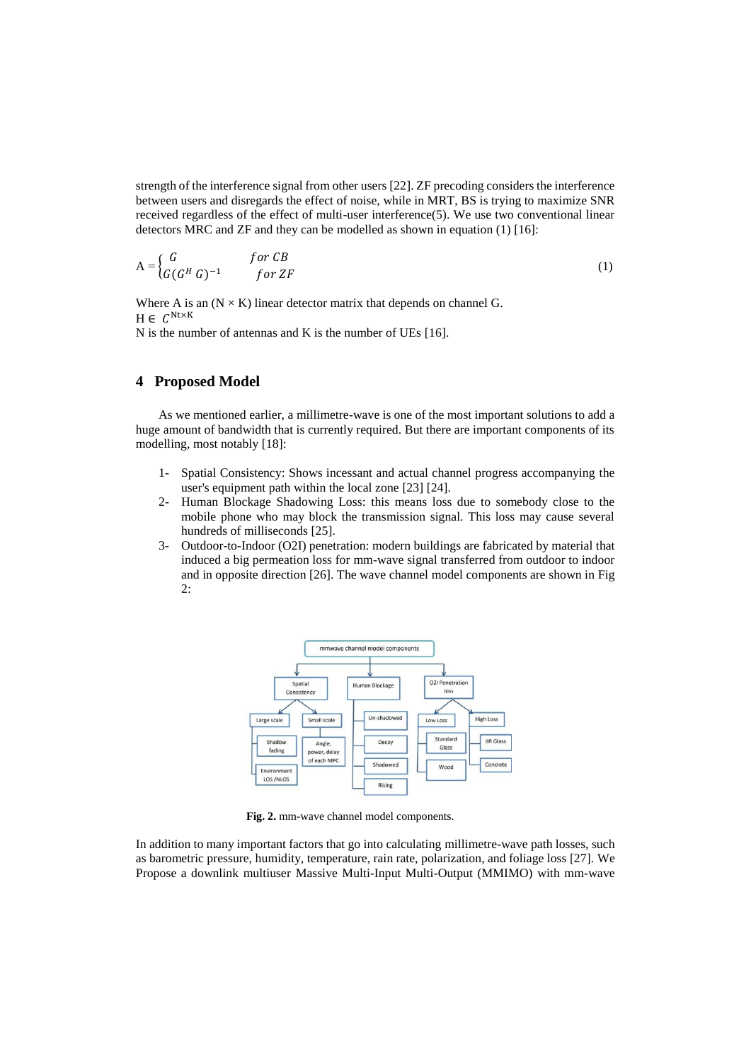strength of the interference signal from other users [22]. ZF precoding considers the interference between users and disregards the effect of noise, while in MRT, BS is trying to maximize SNR received regardless of the effect of multi-user interference(5). We use two conventional linear detectors MRC and ZF and they can be modelled as shown in equation (1) [16]:

$$
A = \begin{cases} G & \text{for } CB \\ G(G^H G)^{-1} & \text{for } ZF \end{cases}
$$
 (1)

Where A is an  $(N \times K)$  linear detector matrix that depends on channel G.  $H \in C^{Nt \times K}$ 

N is the number of antennas and K is the number of UEs [16].

### **4 Proposed Model**

As we mentioned earlier, a millimetre-wave is one of the most important solutions to add a huge amount of bandwidth that is currently required. But there are important components of its modelling, most notably [18]:

- 1- Spatial Consistency: Shows incessant and actual channel progress accompanying the user's equipment path within the local zone [23] [24].
- 2- Human Blockage Shadowing Loss: this means loss due to somebody close to the mobile phone who may block the transmission signal. This loss may cause several hundreds of milliseconds [25].
- 3- Outdoor-to-Indoor (O2I) penetration: modern buildings are fabricated by material that induced a big permeation loss for mm-wave signal transferred from outdoor to indoor and in opposite direction [26]. The wave channel model components are shown in Fig 2:



**Fig. 2.** mm-wave channel model components.

In addition to many important factors that go into calculating millimetre-wave path losses, such as barometric pressure, humidity, temperature, rain rate, polarization, and foliage loss [27]. We Propose a downlink multiuser Massive Multi-Input Multi-Output (MMIMO) with mm-wave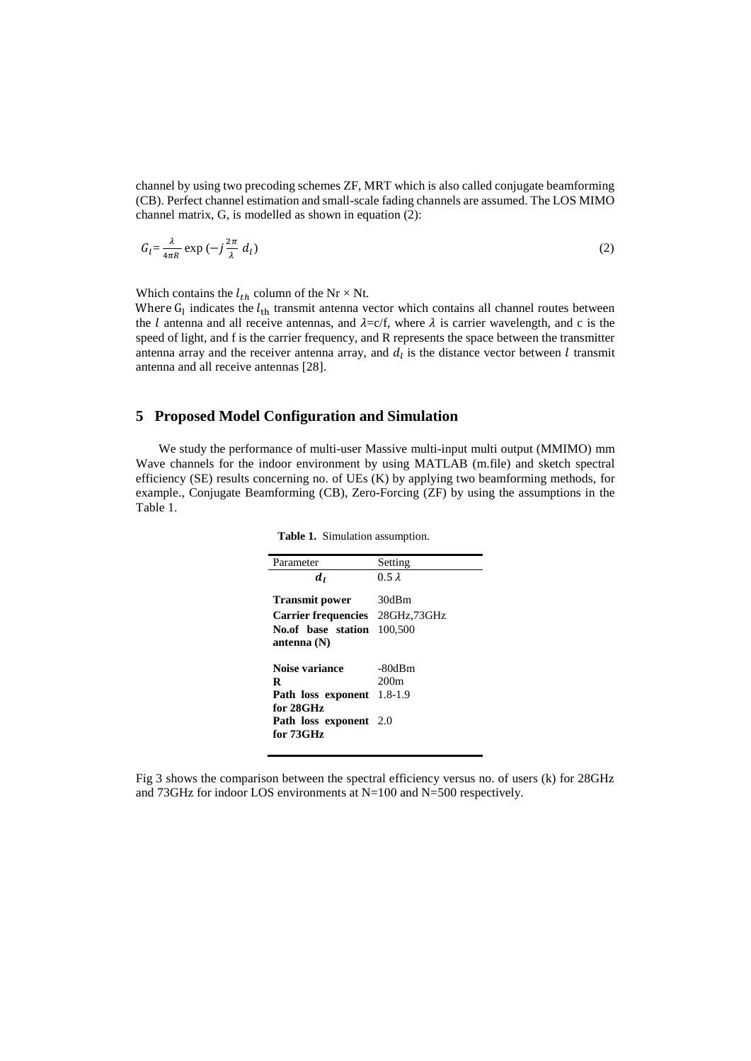channel by using two precoding schemes ZF, MRT which is also called conjugate beamforming (CB). Perfect channel estimation and small-scale fading channels are assumed. The LOS MIMO channel matrix, G, is modelled as shown in equation (2):

$$
G_l = \frac{\lambda}{4\pi R} \exp\left(-j\frac{2\pi}{\lambda} d_l\right) \tag{2}
$$

Which contains the  $l_{th}$  column of the Nr  $\times$  Nt.

Where  $G_l$  indicates the  $l_{th}$  transmit antenna vector which contains all channel routes between the *l* antenna and all receive antennas, and  $\lambda = c/f$ , where  $\lambda$  is carrier wavelength, and c is the speed of light, and f is the carrier frequency, and R represents the space between the transmitter antenna array and the receiver antenna array, and  $d_l$  is the distance vector between  $l$  transmit antenna and all receive antennas [28].

### **5 Proposed Model Configuration and Simulation**

We study the performance of multi-user Massive multi-input multi output (MMIMO) mm Wave channels for the indoor environment by using MATLAB (m.file) and sketch spectral efficiency (SE) results concerning no. of UEs (K) by applying two beamforming methods, for example., Conjugate Beamforming (CB), Zero-Forcing (ZF) by using the assumptions in the Table 1.

| Parameter                     | Setting       |
|-------------------------------|---------------|
| dı                            | $0.5 \lambda$ |
| <b>Transmit power</b>         | 30dBm         |
| <b>Carrier frequencies</b>    | 28GHz,73GHz   |
| No.of base station            | 100,500       |
| antenna $(N)$                 |               |
| Noise variance                | -80dBm        |
| R                             | 200m          |
| Path loss exponent            | $1.8 - 1.9$   |
| for 28GHz                     |               |
| <b>Path loss exponent</b> 2.0 |               |
| for 73GHz                     |               |

 **Table 1.** Simulation assumption.

Fig 3 shows the comparison between the spectral efficiency versus no. of users (k) for 28GHz and 73GHz for indoor LOS environments at N=100 and N=500 respectively.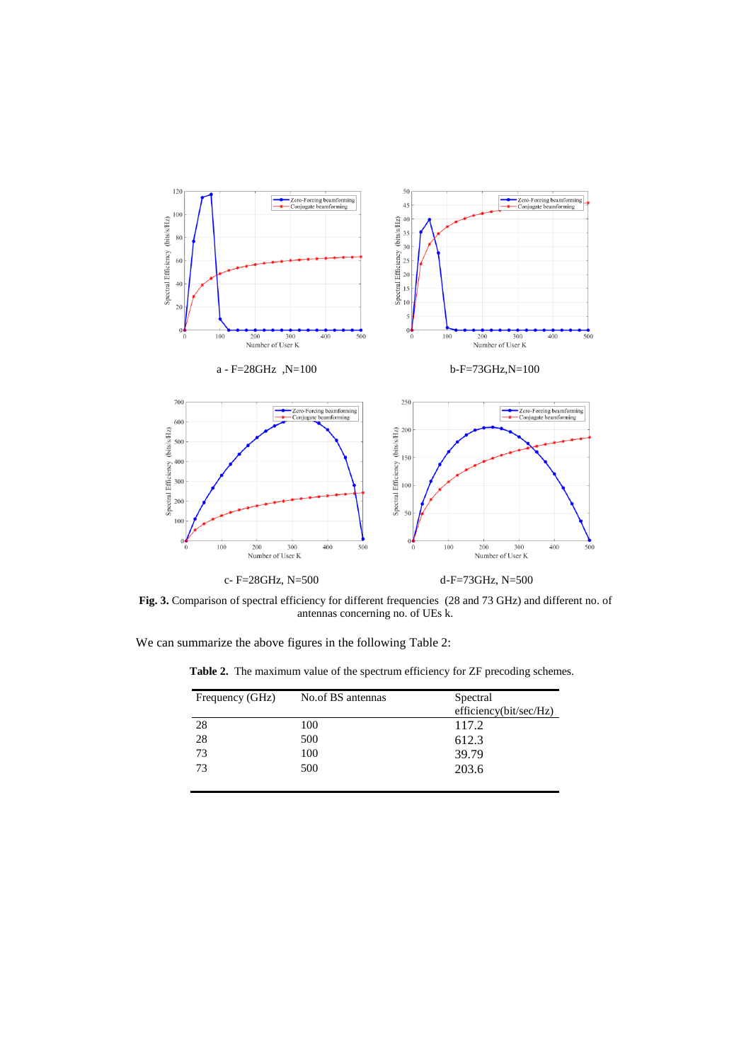

**Fig. 3.** Comparison of spectral efficiency for different frequencies (28 and 73 GHz) and different no. of antennas concerning no. of UEs k.

We can summarize the above figures in the following Table 2:

**Table 2.** The maximum value of the spectrum efficiency for ZF precoding schemes.

| Frequency (GHz) | No.of BS antennas | Spectral<br>efficiency(bit/sec/Hz) |
|-----------------|-------------------|------------------------------------|
| 28              | 100               | 117.2                              |
| 28              | 500               | 612.3                              |
| 73              | 100               | 39.79                              |
| 73              | 500               | 203.6                              |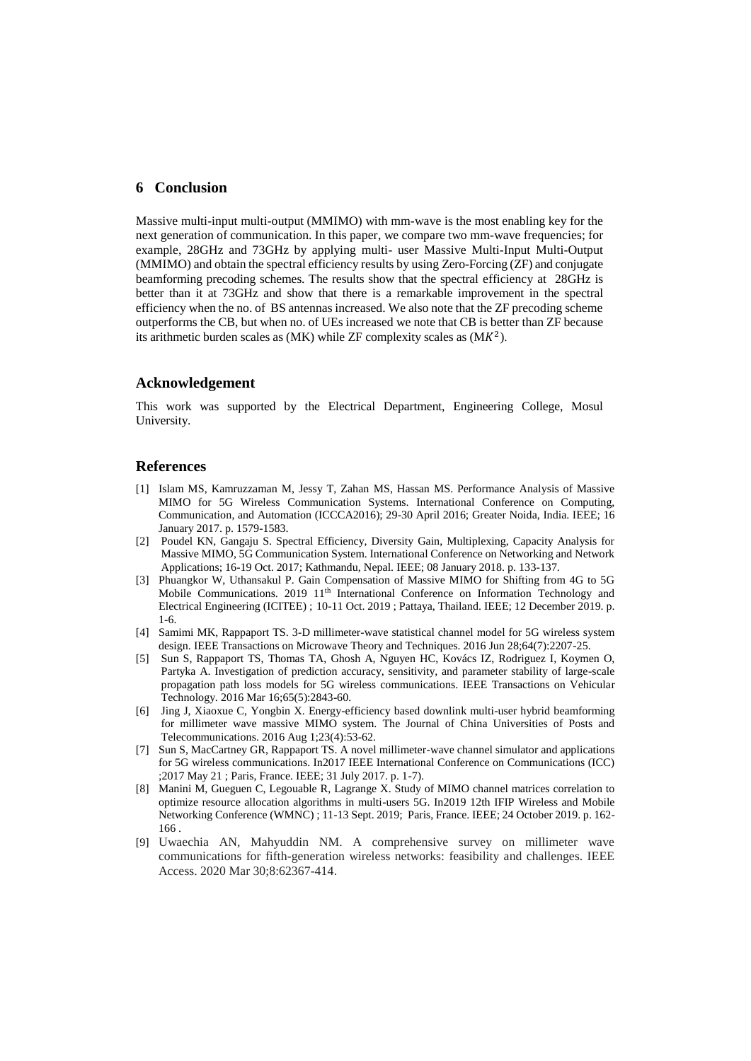### **6 Conclusion**

Massive multi-input multi-output (MMIMO) with mm-wave is the most enabling key for the next generation of communication. In this paper, we compare two mm-wave frequencies; for example, 28GHz and 73GHz by applying multi- user Massive Multi-Input Multi-Output (MMIMO) and obtain the spectral efficiency results by using Zero-Forcing (ZF) and conjugate beamforming precoding schemes. The results show that the spectral efficiency at 28GHz is better than it at 73GHz and show that there is a remarkable improvement in the spectral efficiency when the no. of BS antennas increased. We also note that the ZF precoding scheme outperforms the CB, but when no. of UEs increased we note that CB is better than ZF because its arithmetic burden scales as  $(MK)$  while ZF complexity scales as  $(MK^2)$ .

### **Acknowledgement**

This work was supported by the Electrical Department, Engineering College, Mosul University.

#### **References**

- [1] Islam MS, Kamruzzaman M, Jessy T, Zahan MS, Hassan MS. Performance Analysis of Massive MIMO for 5G Wireless Communication Systems. International Conference on Computing, Communication, and Automation (ICCCA2016); 29-30 April 2016; Greater Noida, India. IEEE; 16 January 2017. p. 1579-1583.
- [2] Poudel KN, Gangaju S. Spectral Efficiency, Diversity Gain, Multiplexing, Capacity Analysis for Massive MIMO, 5G Communication System. International Conference on Networking and Network Applications; 16-19 Oct. 2017; Kathmandu, Nepal. IEEE; 08 January 2018. p. 133-137.
- [3] Phuangkor W, Uthansakul P. Gain Compensation of Massive MIMO for Shifting from 4G to 5G Mobile Communications. 2019 11<sup>th</sup> International Conference on Information Technology and Electrical Engineering (ICITEE) ; 10-11 Oct. 2019 ; Pattaya, Thailand. IEEE; 12 December 2019. p. 1-6.
- [4] Samimi MK, Rappaport TS. 3-D millimeter-wave statistical channel model for 5G wireless system design. IEEE Transactions on Microwave Theory and Techniques. 2016 Jun 28;64(7):2207-25.
- [5] Sun S, Rappaport TS, Thomas TA, Ghosh A, Nguyen HC, Kovács IZ, Rodriguez I, Koymen O, Partyka A. Investigation of prediction accuracy, sensitivity, and parameter stability of large-scale propagation path loss models for 5G wireless communications. IEEE Transactions on Vehicular Technology. 2016 Mar 16;65(5):2843-60.
- [6] Jing J, Xiaoxue C, Yongbin X. Energy-efficiency based downlink multi-user hybrid beamforming for millimeter wave massive MIMO system. The Journal of China Universities of Posts and Telecommunications. 2016 Aug 1;23(4):53-62.
- [7] Sun S, MacCartney GR, Rappaport TS. A novel millimeter-wave channel simulator and applications for 5G wireless communications. In2017 IEEE International Conference on Communications (ICC) ;2017 May 21 ; Paris, France. IEEE; 31 July 2017. p. 1-7).
- [8] Manini M, Gueguen C, Legouable R, Lagrange X. Study of MIMO channel matrices correlation to optimize resource allocation algorithms in multi-users 5G. In2019 12th IFIP Wireless and Mobile Networking Conference (WMNC) ; 11-13 Sept. 2019; Paris, France. IEEE; 24 October 2019. p. 162- 166 .
- [9] Uwaechia AN, Mahyuddin NM. A comprehensive survey on millimeter wave communications for fifth-generation wireless networks: feasibility and challenges. IEEE Access. 2020 Mar 30;8:62367-414.